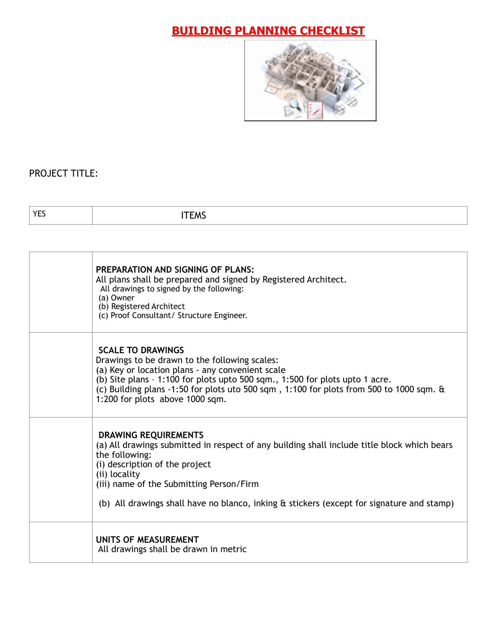# **BUILDING PLANNING CHECKLIST**



# PROJECT TITLE:

| $\sqrt{2}$<br>----<br>M.<br>_______ |
|-------------------------------------|
|-------------------------------------|

| <b>PREPARATION AND SIGNING OF PLANS:</b><br>All plans shall be prepared and signed by Registered Architect.<br>All drawings to signed by the following:<br>(a) Owner<br>(b) Registered Architect<br>(c) Proof Consultant/ Structure Engineer.                                                                                               |
|---------------------------------------------------------------------------------------------------------------------------------------------------------------------------------------------------------------------------------------------------------------------------------------------------------------------------------------------|
| <b>SCALE TO DRAWINGS</b><br>Drawings to be drawn to the following scales:<br>(a) Key or location plans - any convenient scale<br>(b) Site plans - 1:100 for plots upto 500 sqm., 1:500 for plots upto 1 acre.<br>(c) Building plans -1:50 for plots uto 500 sqm, 1:100 for plots from 500 to 1000 sqm. &<br>1:200 for plots above 1000 sqm. |
| <b>DRAWING REQUIREMENTS</b><br>(a) All drawings submitted in respect of any building shall include title block which bears<br>the following:<br>(i) description of the project<br>(ii) locality<br>(iii) name of the Submitting Person/Firm<br>(b) All drawings shall have no blanco, inking & stickers (except for signature and stamp)    |
| UNITS OF MEASUREMENT<br>All drawings shall be drawn in metric                                                                                                                                                                                                                                                                               |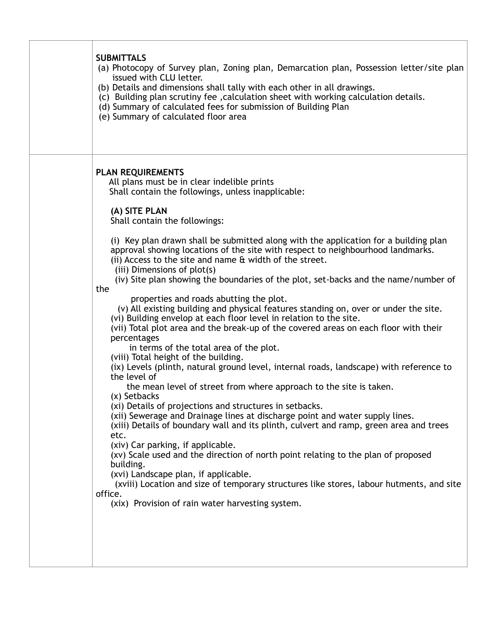| <b>SUBMITTALS</b><br>(a) Photocopy of Survey plan, Zoning plan, Demarcation plan, Possession letter/site plan<br>issued with CLU letter.<br>(b) Details and dimensions shall tally with each other in all drawings.<br>(c) Building plan scrutiny fee, calculation sheet with working calculation details.<br>(d) Summary of calculated fees for submission of Building Plan<br>(e) Summary of calculated floor area                                                                                                                                                                                                                                                                                                                                                                                                                                                                                                                                                                                                                                                                                                                                                                                                                                                                                                                                                                                                                                                                                                                                                                                                                                                                                                                          |
|-----------------------------------------------------------------------------------------------------------------------------------------------------------------------------------------------------------------------------------------------------------------------------------------------------------------------------------------------------------------------------------------------------------------------------------------------------------------------------------------------------------------------------------------------------------------------------------------------------------------------------------------------------------------------------------------------------------------------------------------------------------------------------------------------------------------------------------------------------------------------------------------------------------------------------------------------------------------------------------------------------------------------------------------------------------------------------------------------------------------------------------------------------------------------------------------------------------------------------------------------------------------------------------------------------------------------------------------------------------------------------------------------------------------------------------------------------------------------------------------------------------------------------------------------------------------------------------------------------------------------------------------------------------------------------------------------------------------------------------------------|
| <b>PLAN REQUIREMENTS</b><br>All plans must be in clear indelible prints<br>Shall contain the followings, unless inapplicable:<br>(A) SITE PLAN<br>Shall contain the followings:<br>(i) Key plan drawn shall be submitted along with the application for a building plan<br>approval showing locations of the site with respect to neighbourhood landmarks.<br>(ii) Access to the site and name & width of the street.<br>(iii) Dimensions of plot(s)<br>(iv) Site plan showing the boundaries of the plot, set-backs and the name/number of<br>the<br>properties and roads abutting the plot.<br>(v) All existing building and physical features standing on, over or under the site.<br>(vi) Building envelop at each floor level in relation to the site.<br>(vii) Total plot area and the break-up of the covered areas on each floor with their<br>percentages<br>in terms of the total area of the plot.<br>(viii) Total height of the building.<br>(ix) Levels (plinth, natural ground level, internal roads, landscape) with reference to<br>the level of<br>the mean level of street from where approach to the site is taken.<br>(x) Setbacks<br>(xi) Details of projections and structures in setbacks.<br>(xii) Sewerage and Drainage lines at discharge point and water supply lines.<br>(xiii) Details of boundary wall and its plinth, culvert and ramp, green area and trees<br>etc.<br>(xiv) Car parking, if applicable.<br>(xv) Scale used and the direction of north point relating to the plan of proposed<br>building.<br>(xvi) Landscape plan, if applicable.<br>(xviii) Location and size of temporary structures like stores, labour hutments, and site<br>office.<br>(xix) Provision of rain water harvesting system. |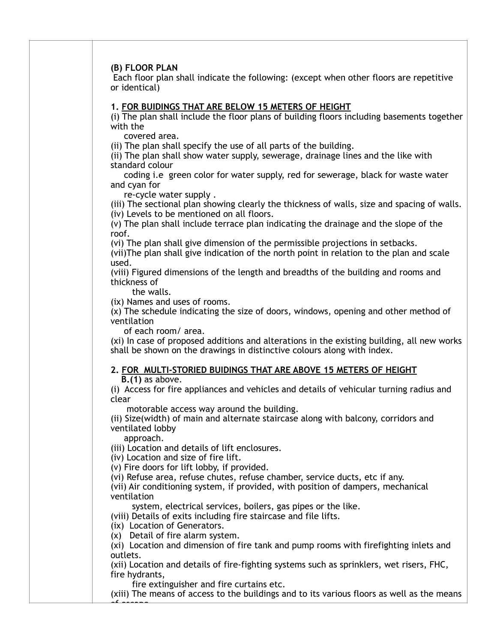#### **(B) FLOOR PLAN**

 Each floor plan shall indicate the following: (except when other floors are repetitive or identical)

#### **1. FOR BUIDINGS THAT ARE BELOW 15 METERS OF HEIGHT**

(i) The plan shall include the floor plans of building floors including basements together with the

covered area.

(ii) The plan shall specify the use of all parts of the building.

(ii) The plan shall show water supply, sewerage, drainage lines and the like with standard colour

 coding i.e green color for water supply, red for sewerage, black for waste water and cyan for

re-cycle water supply .

(iii) The sectional plan showing clearly the thickness of walls, size and spacing of walls. (iv) Levels to be mentioned on all floors.

(v) The plan shall include terrace plan indicating the drainage and the slope of the roof.

(vi) The plan shall give dimension of the permissible projections in setbacks.

(vii)The plan shall give indication of the north point in relation to the plan and scale used.

(viii) Figured dimensions of the length and breadths of the building and rooms and thickness of

the walls.

(ix) Names and uses of rooms.

(x) The schedule indicating the size of doors, windows, opening and other method of ventilation

of each room/ area.

(xi) In case of proposed additions and alterations in the existing building, all new works shall be shown on the drawings in distinctive colours along with index.

#### **2. FOR MULTI-STORIED BUIDINGS THAT ARE ABOVE 15 METERS OF HEIGHT**

 **B.(1)** as above.

(i) Access for fire appliances and vehicles and details of vehicular turning radius and clear

motorable access way around the building.

(ii) Size(width) of main and alternate staircase along with balcony, corridors and ventilated lobby

approach.

of ananna

(iii) Location and details of lift enclosures.

(iv) Location and size of fire lift.

(v) Fire doors for lift lobby, if provided.

(vi) Refuse area, refuse chutes, refuse chamber, service ducts, etc if any.

(vii) Air conditioning system, if provided, with position of dampers, mechanical ventilation

system, electrical services, boilers, gas pipes or the like.

(viii) Details of exits including fire staircase and file lifts.

(ix) Location of Generators.

(x) Detail of fire alarm system.

(xi) Location and dimension of fire tank and pump rooms with firefighting inlets and outlets.

(xii) Location and details of fire-fighting systems such as sprinklers, wet risers, FHC, fire hydrants,

fire extinguisher and fire curtains etc.

(xiii) The means of access to the buildings and to its various floors as well as the means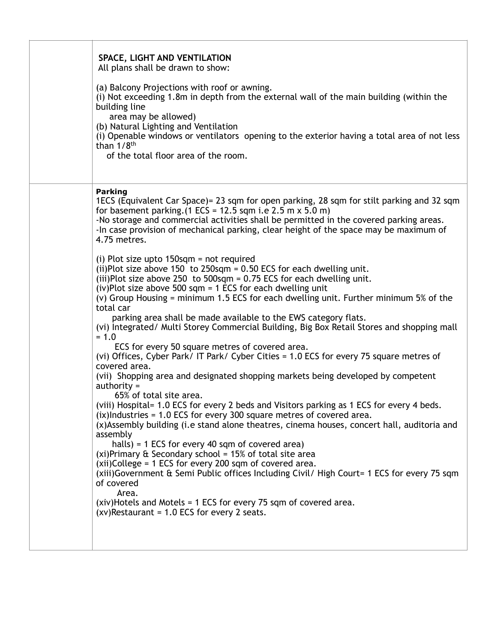| SPACE, LIGHT AND VENTILATION<br>All plans shall be drawn to show:<br>(a) Balcony Projections with roof or awning.<br>(i) Not exceeding 1.8m in depth from the external wall of the main building (within the<br>building line<br>area may be allowed)<br>(b) Natural Lighting and Ventilation<br>(i) Openable windows or ventilators opening to the exterior having a total area of not less<br>than $1/8$ <sup>th</sup><br>of the total floor area of the room.                                                                                                                                                                                                                                                                                                                                                                                                                                                                                                                                                                                                                                                                                                                                                                                                                                                                                                                                                                                                                                                                                                                                                                                                                                                                                                                                                 |
|------------------------------------------------------------------------------------------------------------------------------------------------------------------------------------------------------------------------------------------------------------------------------------------------------------------------------------------------------------------------------------------------------------------------------------------------------------------------------------------------------------------------------------------------------------------------------------------------------------------------------------------------------------------------------------------------------------------------------------------------------------------------------------------------------------------------------------------------------------------------------------------------------------------------------------------------------------------------------------------------------------------------------------------------------------------------------------------------------------------------------------------------------------------------------------------------------------------------------------------------------------------------------------------------------------------------------------------------------------------------------------------------------------------------------------------------------------------------------------------------------------------------------------------------------------------------------------------------------------------------------------------------------------------------------------------------------------------------------------------------------------------------------------------------------------------|
| Parking<br>1ECS (Equivalent Car Space) = 23 sqm for open parking, 28 sqm for stilt parking and 32 sqm<br>for basement parking. $(1$ ECS = 12.5 sqm i.e 2.5 m x 5.0 m)<br>-No storage and commercial activities shall be permitted in the covered parking areas.<br>-In case provision of mechanical parking, clear height of the space may be maximum of<br>4.75 metres.<br>(i) Plot size upto $150$ sqm = not required<br>(ii)Plot size above 150 to 250sqm = $0.50$ ECS for each dwelling unit.<br>(iii)Plot size above 250 to 500sqm = $0.75$ ECS for each dwelling unit.<br>(iv)Plot size above 500 sqm = 1 ECS for each dwelling unit<br>(v) Group Housing = minimum 1.5 ECS for each dwelling unit. Further minimum 5% of the<br>total car<br>parking area shall be made available to the EWS category flats.<br>(vi) Integrated/ Multi Storey Commercial Building, Big Box Retail Stores and shopping mall<br>$= 1.0$<br>ECS for every 50 square metres of covered area.<br>(vi) Offices, Cyber Park/ IT Park/ Cyber Cities = 1.0 ECS for every 75 square metres of<br>covered area.<br>(vii) Shopping area and designated shopping markets being developed by competent<br>authority $=$<br>65% of total site area.<br>(viii) Hospital= 1.0 ECS for every 2 beds and Visitors parking as 1 ECS for every 4 beds.<br>$(ix)$ Industries = 1.0 ECS for every 300 square metres of covered area.<br>(x)Assembly building (i.e stand alone theatres, cinema houses, concert hall, auditoria and<br>assembly<br>halls) = 1 ECS for every 40 sqm of covered area)<br>(xi)Primary $\&$ Secondary school = 15% of total site area<br>(xii)College = 1 ECS for every 200 sqm of covered area.<br>(xiii)Government & Semi Public offices Including Civil/ High Court= 1 ECS for every 75 sqm<br>of covered<br>Area. |
| (xiv) Hotels and Motels = 1 ECS for every 75 sqm of covered area.<br>$(xv)$ Restaurant = 1.0 ECS for every 2 seats.                                                                                                                                                                                                                                                                                                                                                                                                                                                                                                                                                                                                                                                                                                                                                                                                                                                                                                                                                                                                                                                                                                                                                                                                                                                                                                                                                                                                                                                                                                                                                                                                                                                                                              |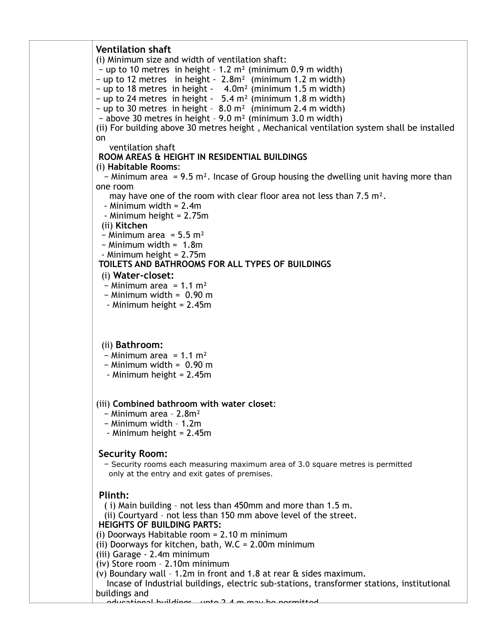### **Ventilation shaft**

(i) Minimum size and width of ventilation shaft:  $-$  up to 10 metres in height  $-1.2$  m<sup>2</sup> (minimum 0.9 m width)  $-$  up to 12 metres in height  $-2.8$ m<sup>2</sup> (minimum 1.2 m width) − up to 18 metres in height - 4.0m² (minimum 1.5 m width)  $-$  up to 24 metres in height  $-$  5.4 m<sup>2</sup> (minimum 1.8 m width)  $-$  up to 30 metres in height  $-8.0$  m<sup>2</sup> (minimum 2.4 m width) − above 30 metres in height – 9.0 m² (minimum 3.0 m width) (ii) For building above 30 metres height , Mechanical ventilation system shall be installed on ventilation shaft **ROOM AREAS & HEIGHT IN RESIDENTIAL BUILDINGS**  (i) **Habitable Rooms**: − Minimum area = 9.5 m². Incase of Group housing the dwelling unit having more than one room may have one of the room with clear floor area not less than 7.5 m². - Minimum width = 2.4m - Minimum height = 2.75m (ii) **Kitchen**  $-$  Minimum area = 5.5 m<sup>2</sup> − Minimum width = 1.8m - Minimum height = 2.75m **TOILETS AND BATHROOMS FOR ALL TYPES OF BUILDINGS**  (i) **Water-closet:**  $-$  Minimum area = 1.1 m<sup>2</sup> − Minimum width = 0.90 m - Minimum height = 2.45m

### (ii) **Bathroom:**

- $-$  Minimum area = 1.1 m<sup>2</sup>
- − Minimum width = 0.90 m
- Minimum height = 2.45m

#### (iii) **Combined bathroom with water closet**:

- − Minimum area 2.8m²
- − Minimum width 1.2m
- Minimum height = 2.45m

# **Security Room:**

 − Security rooms each measuring maximum area of 3.0 square metres is permitted only at the entry and exit gates of premises.

# **Plinth:**

( i) Main building – not less than 450mm and more than 1.5 m.

(ii) Courtyard – not less than 150 mm above level of the street.

#### **HEIGHTS OF BUILDING PARTS:**

(i) Doorways Habitable room = 2.10 m minimum

(ii) Doorways for kitchen, bath, W.C = 2.00m minimum

(iii) Garage - 2.4m minimum

(iv) Store room – 2.10m minimum

(v) Boundary wall – 1.2m in front and 1.8 at rear & sides maximum.

 Incase of Industrial buildings, electric sub-stations, transformer stations, institutional buildings and

educational buildings – upto 2.4 m may be permitted